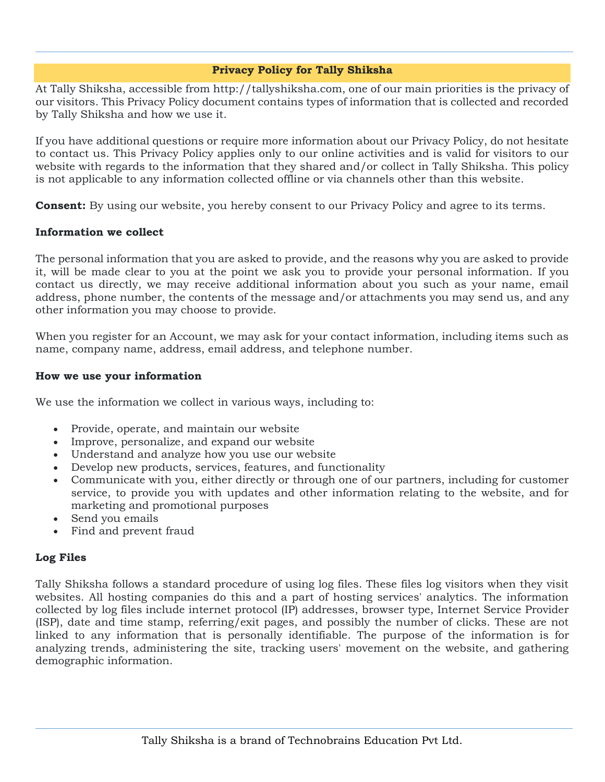# **Privacy Policy for Tally Shiksha**

At Tally Shiksha, accessible from http://tallyshiksha.com, one of our main priorities is the privacy of our visitors. This Privacy Policy document contains types of information that is collected and recorded by Tally Shiksha and how we use it.

If you have additional questions or require more information about our Privacy Policy, do not hesitate to contact us. This Privacy Policy applies only to our online activities and is valid for visitors to our website with regards to the information that they shared and/or collect in Tally Shiksha. This policy is not applicable to any information collected offline or via channels other than this website.

**Consent:** By using our website, you hereby consent to our Privacy Policy and agree to its terms.

# **Information we collect**

The personal information that you are asked to provide, and the reasons why you are asked to provide it, will be made clear to you at the point we ask you to provide your personal information. If you contact us directly, we may receive additional information about you such as your name, email address, phone number, the contents of the message and/or attachments you may send us, and any other information you may choose to provide.

When you register for an Account, we may ask for your contact information, including items such as name, company name, address, email address, and telephone number.

## **How we use your information**

We use the information we collect in various ways, including to:

- Provide, operate, and maintain our website
- Improve, personalize, and expand our website
- Understand and analyze how you use our website
- Develop new products, services, features, and functionality
- Communicate with you, either directly or through one of our partners, including for customer service, to provide you with updates and other information relating to the website, and for marketing and promotional purposes
- Send you emails
- Find and prevent fraud

# **Log Files**

Tally Shiksha follows a standard procedure of using log files. These files log visitors when they visit websites. All hosting companies do this and a part of hosting services' analytics. The information collected by log files include internet protocol (IP) addresses, browser type, Internet Service Provider (ISP), date and time stamp, referring/exit pages, and possibly the number of clicks. These are not linked to any information that is personally identifiable. The purpose of the information is for analyzing trends, administering the site, tracking users' movement on the website, and gathering demographic information.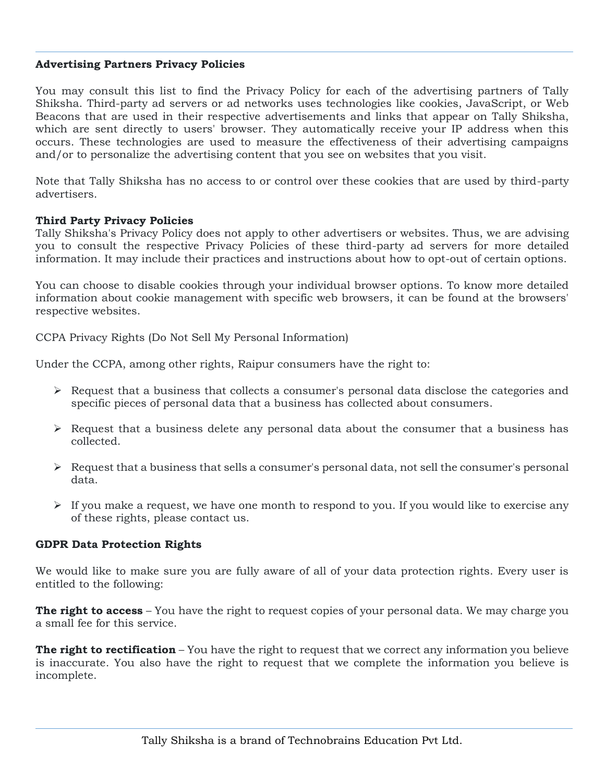## **Advertising Partners Privacy Policies**

You may consult this list to find the Privacy Policy for each of the advertising partners of Tally Shiksha. Third-party ad servers or ad networks uses technologies like cookies, JavaScript, or Web Beacons that are used in their respective advertisements and links that appear on Tally Shiksha, which are sent directly to users' browser. They automatically receive your IP address when this occurs. These technologies are used to measure the effectiveness of their advertising campaigns and/or to personalize the advertising content that you see on websites that you visit.

Note that Tally Shiksha has no access to or control over these cookies that are used by third-party advertisers.

#### **Third Party Privacy Policies**

Tally Shiksha's Privacy Policy does not apply to other advertisers or websites. Thus, we are advising you to consult the respective Privacy Policies of these third-party ad servers for more detailed information. It may include their practices and instructions about how to opt-out of certain options.

You can choose to disable cookies through your individual browser options. To know more detailed information about cookie management with specific web browsers, it can be found at the browsers' respective websites.

CCPA Privacy Rights (Do Not Sell My Personal Information)

Under the CCPA, among other rights, Raipur consumers have the right to:

- $\triangleright$  Request that a business that collects a consumer's personal data disclose the categories and specific pieces of personal data that a business has collected about consumers.
- $\triangleright$  Request that a business delete any personal data about the consumer that a business has collected.
- $\triangleright$  Request that a business that sells a consumer's personal data, not sell the consumer's personal data.
- $\triangleright$  If you make a request, we have one month to respond to you. If you would like to exercise any of these rights, please contact us.

#### **GDPR Data Protection Rights**

We would like to make sure you are fully aware of all of your data protection rights. Every user is entitled to the following:

**The right to access** – You have the right to request copies of your personal data. We may charge you a small fee for this service.

**The right to rectification** – You have the right to request that we correct any information you believe is inaccurate. You also have the right to request that we complete the information you believe is incomplete.